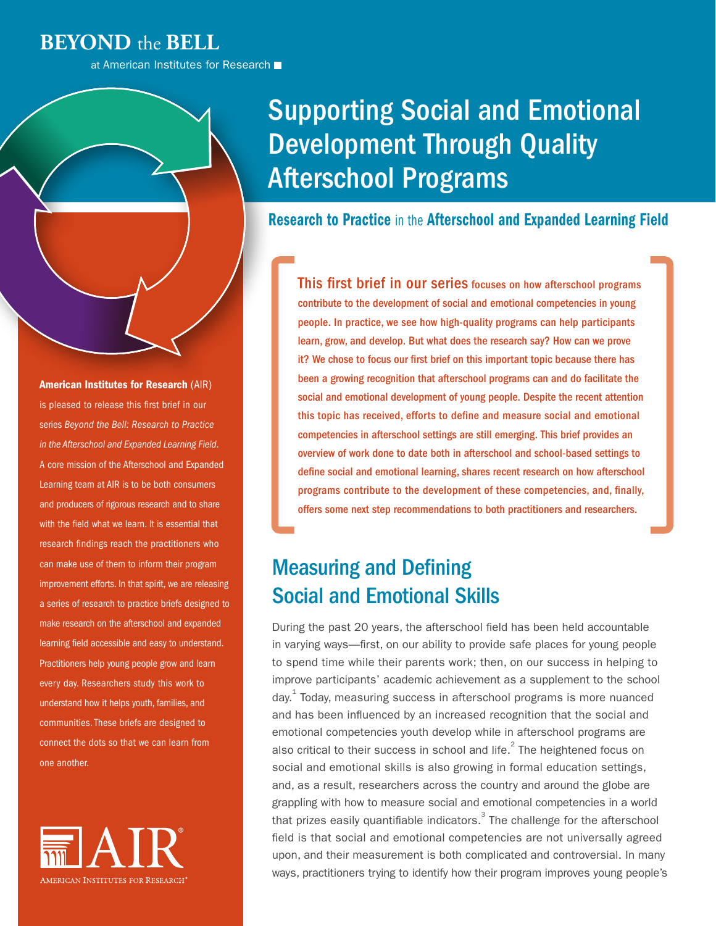### **BEYOND** the **BELL**

at American Institutes for Research

#### American Institutes for Research (AIR)

is pleased to release this first brief in our series *Beyond the Bell: Research to Practice in the Afterschool and Expanded Learning Field*. A core mission of the Afterschool and Expanded Learning team at AIR is to be both consumers and producers of rigorous research and to share with the field what we learn. It is essential that research findings reach the practitioners who can make use of them to inform their program improvement efforts. In that spirit, we are releasing a series of research to practice briefs designed to make research on the afterschool and expanded learning field accessible and easy to understand. Practitioners help young people grow and learn every day. Researchers study this work to understand how it helps youth, families, and communities. These briefs are designed to connect the dots so that we can learn from one another.



# Supporting Social and Emotional Development Through Quality Afterschool Programs

### Research to Practice in the Afterschool and Expanded Learning Field

This first brief in our series focuses on how afterschool programs contribute to the development of social and emotional competencies in young people. In practice, we see how high-quality programs can help participants learn, grow, and develop. But what does the research say? How can we prove it? We chose to focus our first brief on this important topic because there has been a growing recognition that afterschool programs can and do facilitate the social and emotional development of young people. Despite the recent attention this topic has received, efforts to define and measure social and emotional competencies in afterschool settings are still emerging. This brief provides an overview of work done to date both in afterschool and school-based settings to define social and emotional learning, shares recent research on how afterschool programs contribute to the development of these competencies, and, finally, offers some next step recommendations to both practitioners and researchers.

# Measuring and Defining Social and Emotional Skills

During the past 20 years, the afterschool field has been held accountable in varying ways—first, on our ability to provide safe places for young people to spend time while their parents work; then, on our success in helping to improve participants' academic achievement as a supplement to the school day.<sup>[1](#page-7-0)</sup> Today, measuring success in afterschool programs is more nuanced and has been influenced by an increased recognition that the social and emotional competencies youth develop while in afterschool programs are also critical to their success in school and life. $^{2}$  $^{2}$  $^{2}$  The heightened focus on social and emotional skills is also growing in formal education settings, and, as a result, researchers across the country and around the globe are grappling with how to measure social and emotional competencies in a world that prizes easily quantifiable indicators.  $3$  The challenge for the afterschool field is that social and emotional competencies are not universally agreed upon, and their measurement is both complicated and controversial. In many ways, practitioners trying to identify how their program improves young people's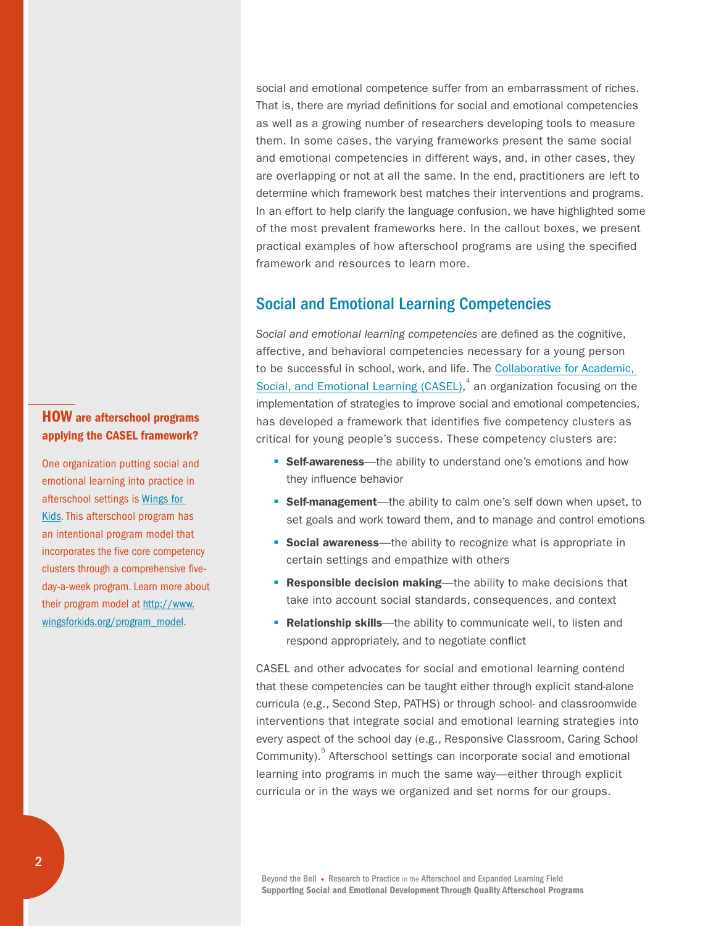and emotional competencies in different ways, and, in other cases, they are overlapping or not at all the same. In the end, practitioners are left to determine which framework best matches their interventions and programs. In an effort to help clarify the language confusion, we have highlighted some of the most prevalent frameworks here. In the callout boxes, we present practical examples of how afterschool programs are using the specified framework and resources to learn more.

social and emotional competence suffer from an embarrassment of riches. That is, there are myriad definitions for social and emotional competencies as well as a growing number of researchers developing tools to measure them. In some cases, the varying frameworks present the same social

### Social and Emotional Learning Competencies

*Social and emotional learning competencies* are defined as the cognitive, affective, and behavioral competencies necessary for a young person to be successful in school, work, and life. The [Collaborative for Academic,](http://www.casel.org/social-and-emotional-learning/)  Social, and Emotional Learning  $(CASEL)^4$  $(CASEL)^4$  an organization focusing on the implementation of strategies to improve social and emotional competencies, has developed a framework that identifies five competency clusters as critical for young people's success. These competency clusters are:

- **Self-awareness**—the ability to understand one's emotions and how they influence behavior
- **Self-management**—the ability to calm one's self down when upset, to set goals and work toward them, and to manage and control emotions
- **Social awareness**—the ability to recognize what is appropriate in certain settings and empathize with others
- **Responsible decision making—the ability to make decisions that** take into account social standards, consequences, and context
- **Relationship skills**—the ability to communicate well, to listen and respond appropriately, and to negotiate conflict

CASEL and other advocates for social and emotional learning contend that these competencies can be taught either through explicit stand-alone curricula (e.g., Second Step, PATHS) or through school- and classroomwide interventions that integrate social and emotional learning strategies into every aspect of the school day (e.g., Responsive Classroom, Caring School Community).<sup>[5](#page-8-2)</sup> Afterschool settings can incorporate social and emotional learning into programs in much the same way—either through explicit curricula or in the ways we organized and set norms for our groups.

Beyond the Bell • Research to Practice in the Afterschool and Expanded Learning Field Supporting Social and Emotional Development Through Quality Afterschool Programs

### HOW are afterschool programs applying the CASEL framework?

One organization putting social and emotional learning into practice in afterschool settings is [Wings for](http://www.wingsforkids.org)  [Kids](http://www.wingsforkids.org). This afterschool program has an intentional program model that incorporates the five core competency clusters through a comprehensive fiveday-a-week program. Learn more about their program model at [http://www.](http://www.wingsforkids.org/program_model) [wingsforkids.org/program\\_model.](http://www.wingsforkids.org/program_model)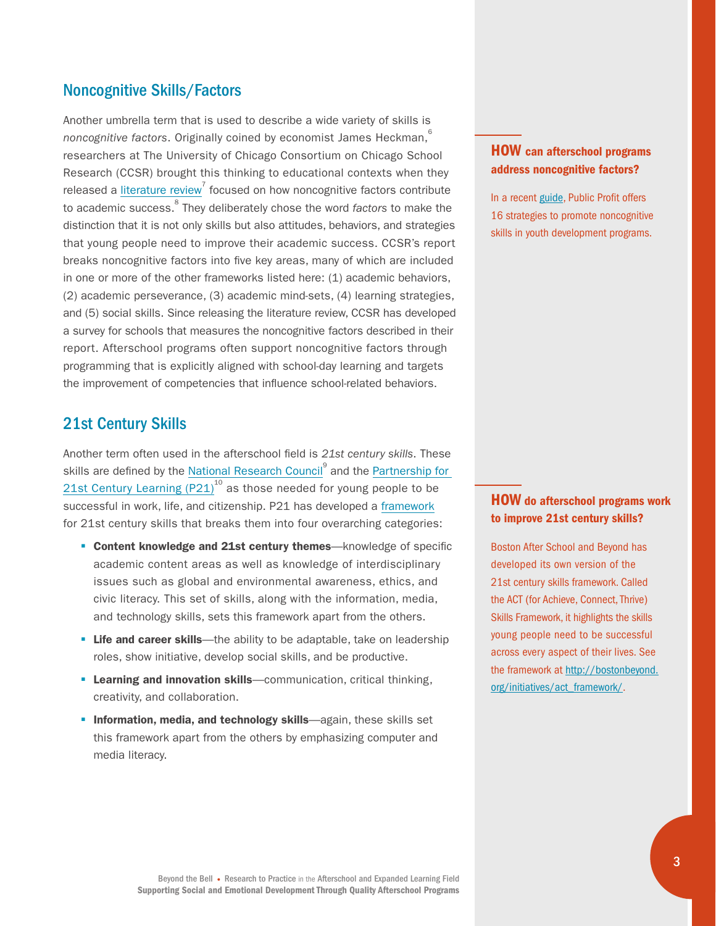### Noncognitive Skills/Factors

Another umbrella term that is used to describe a wide variety of skills is *noncognitive factors.* Originally coined by economist James Heckman,<sup>[6](#page-8-3)</sup> researchers at The University of Chicago Consortium on Chicago School Research (CCSR) brought this thinking to educational contexts when they released a [literature review](https://ccsr.uchicago.edu/sites/default/files/publications/Noncognitive%20Report.pdf)<sup>[7](#page-8-4)</sup> focused on how noncognitive factors contribute to academic success.<sup>8</sup> They deliberately chose the word *factors* to make the distinction that it is not only skills but also attitudes, behaviors, and strategies that young people need to improve their academic success. CCSR's report breaks noncognitive factors into five key areas, many of which are included in one or more of the other frameworks listed here: (1) academic behaviors, (2) academic perseverance, (3) academic mind-sets, (4) learning strategies, and (5) social skills. Since releasing the literature review, CCSR has developed a survey for schools that measures the noncognitive factors described in their report. Afterschool programs often support noncognitive factors through programming that is explicitly aligned with school-day learning and targets the improvement of competencies that influence school-related behaviors.

### 21st Century Skills

Another term often used in the afterschool field is *21st century skills*. These skills are defined by the [National Research Council](http://www.nationalacademies.org/nrc/index.html)<sup>[9](#page-8-6)</sup> and the Partnership for 21st Century Learning  $(P21)^{10}$  $(P21)^{10}$  $(P21)^{10}$  as those needed for young people to be successful in work, life, and citizenship. P21 has developed a [framework](http://www.p21.org/about-us/p21-framework) for 21st century skills that breaks them into four overarching categories:

- **Content knowledge and 21st century themes**—knowledge of specific academic content areas as well as knowledge of interdisciplinary issues such as global and environmental awareness, ethics, and civic literacy. This set of skills, along with the information, media, and technology skills, sets this framework apart from the others.
- **Life and career skills**—the ability to be adaptable, take on leadership roles, show initiative, develop social skills, and be productive.
- **Learning and innovation skills**—communication, critical thinking, creativity, and collaboration.
- **Information, media, and technology skills**—again, these skills set this framework apart from the others by emphasizing computer and media literacy.

### HOW can afterschool programs address noncognitive factors?

In a recent [guide,](http://www.publicprofit.net/site/uploads/Noncognitive%20Strategies%20Guide%20-%20Public%20Profit%20(2014).pdf) Public Profit offers 16 strategies to promote noncognitive skills in youth development programs.

### HOW do afterschool programs work to improve 21st century skills?

Boston After School and Beyond has developed its own version of the 21st century skills framework. Called the ACT (for Achieve, Connect, Thrive) Skills Framework, it highlights the skills young people need to be successful across every aspect of their lives. See the framework at [http://bostonbeyond.](http://bostonbeyond.org/initiatives/act_framework/) [org/initiatives/act\\_framework/.](http://bostonbeyond.org/initiatives/act_framework/)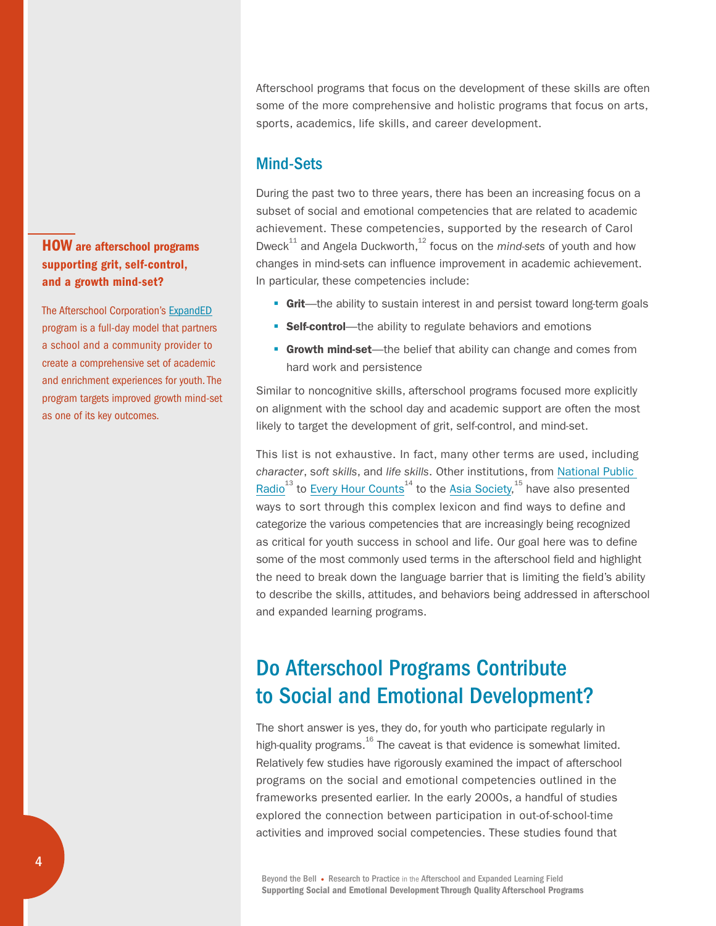### HOW are afterschool programs supporting grit, self-control, and a growth mind-set?

The Afterschool Corporation's [ExpandED](http://www.expandedschools.org/how-we-do-it#sthash.gVxfm8wS.dpbs) program is a full-day model that partners a school and a community provider to create a comprehensive set of academic and enrichment experiences for youth. The program targets improved growth mind-set as one of its key outcomes.

Afterschool programs that focus on the development of these skills are often some of the more comprehensive and holistic programs that focus on arts, sports, academics, life skills, and career development.

### Mind-Sets

During the past two to three years, there has been an increasing focus on a subset of social and emotional competencies that are related to academic achievement. These competencies, supported by the research of Carol Dweck<sup>11</sup> and Angela Duckworth,<sup>12</sup> focus on the *mind-sets* of youth and how changes in mind-sets can influence improvement in academic achievement. In particular, these competencies include:

- **Grit**—the ability to sustain interest in and persist toward long-term goals
- **Self-control**—the ability to regulate behaviors and emotions
- **Growth mind-set**—the belief that ability can change and comes from hard work and persistence

Similar to noncognitive skills, afterschool programs focused more explicitly on alignment with the school day and academic support are often the most likely to target the development of grit, self-control, and mind-set.

This list is not exhaustive. In fact, many other terms are used, including *character*, s*oft skills*, and *life skills*. Other institutions, from [National Public](http://www.npr.org/sections/ed/2015/05/28/404684712/non-academic-skills-are-key-to-success-but-what-should-we-call-them)  [Radio](http://www.npr.org/sections/ed/2015/05/28/404684712/non-academic-skills-are-key-to-success-but-what-should-we-call-them)<sup>13</sup> to [Every Hour Counts](http://www.afterschoolsystems.org/files/4061_file_Every_Hour_Counts_Literature_Review_FINAL.pdf)<sup>[14](#page-8-11)</sup> to the [Asia Society](http://asiasociety.org/files/A_Rosetta_Stone_for_Noncognitive_Skills.pdf?_sm_au_=iVVbvrLb7qLPqPMQ),<sup>[15](#page-8-12)</sup> have also presented ways to sort through this complex lexicon and find ways to define and categorize the various competencies that are increasingly being recognized as critical for youth success in school and life. Our goal here was to define some of the most commonly used terms in the afterschool field and highlight the need to break down the language barrier that is limiting the field's ability to describe the skills, attitudes, and behaviors being addressed in afterschool and expanded learning programs.

# Do Afterschool Programs Contribute to Social and Emotional Development?

The short answer is yes, they do, for youth who participate regularly in high-quality programs. $^{16}$  $^{16}$  $^{16}$  The caveat is that evidence is somewhat limited. Relatively few studies have rigorously examined the impact of afterschool programs on the social and emotional competencies outlined in the frameworks presented earlier. In the early 2000s, a handful of studies explored the connection between participation in out-of-school-time activities and improved social competencies. These studies found that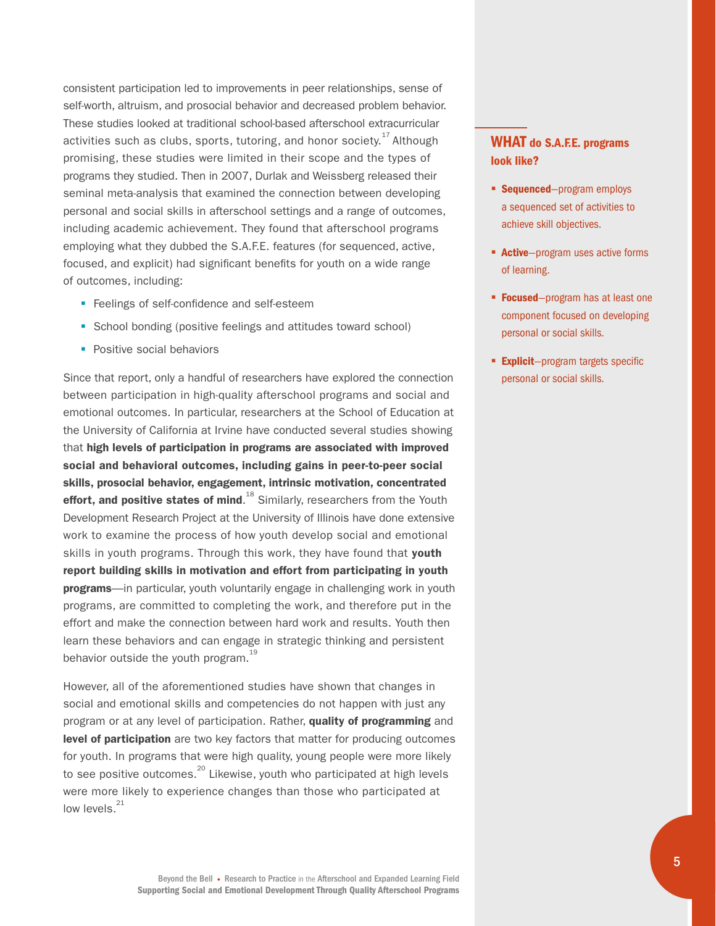consistent participation led to improvements in peer relationships, sense of self-worth, altruism, and prosocial behavior and decreased problem behavior. These studies looked at traditional school-based afterschool extracurricular activities such as clubs, sports, tutoring, and honor society.<sup>[17](#page-9-1)</sup> Although promising, these studies were limited in their scope and the types of programs they studied. Then in 2007, Durlak and Weissberg released their seminal meta-analysis that examined the connection between developing personal and social skills in afterschool settings and a range of outcomes, including academic achievement. They found that afterschool programs employing what they dubbed the S.A.F.E. features (for sequenced, active, focused, and explicit) had significant benefits for youth on a wide range of outcomes, including:

- Feelings of self-confidence and self-esteem
- School bonding (positive feelings and attitudes toward school)
- Positive social behaviors

Since that report, only a handful of researchers have explored the connection between participation in high-quality afterschool programs and social and emotional outcomes. In particular, researchers at the School of Education at the University of California at Irvine have conducted several studies showing that high levels of participation in programs are associated with improved social and behavioral outcomes, including gains in peer-to-peer social skills, prosocial behavior, engagement, intrinsic motivation, concentrated effort, and positive states of mind.<sup>[18](#page-9-2)</sup> Similarly, researchers from the Youth Development Research Project at the University of Illinois have done extensive work to examine the process of how youth develop social and emotional skills in youth programs. Through this work, they have found that youth report building skills in motivation and effort from participating in youth **programs**—in particular, youth voluntarily engage in challenging work in youth programs, are committed to completing the work, and therefore put in the effort and make the connection between hard work and results. Youth then learn these behaviors and can engage in strategic thinking and persistent behavior outside the youth program.<sup>[19](#page-9-3)</sup>

However, all of the aforementioned studies have shown that changes in social and emotional skills and competencies do not happen with just any program or at any level of participation. Rather, quality of programming and level of participation are two key factors that matter for producing outcomes for youth. In programs that were high quality, young people were more likely to see positive outcomes. $^{20}$  Likewise, youth who participated at high levels were more likely to experience changes than those who participated at low levels. $21$ 

### WHAT do S.A.F.E. programs look like?

- **Sequenced**—program employs a sequenced set of activities to achieve skill objectives.
- **Example 2 Active**—program uses active forms of learning.
- **Focused**-program has at least one component focused on developing personal or social skills.
- **Explicit**-program targets specific personal or social skills.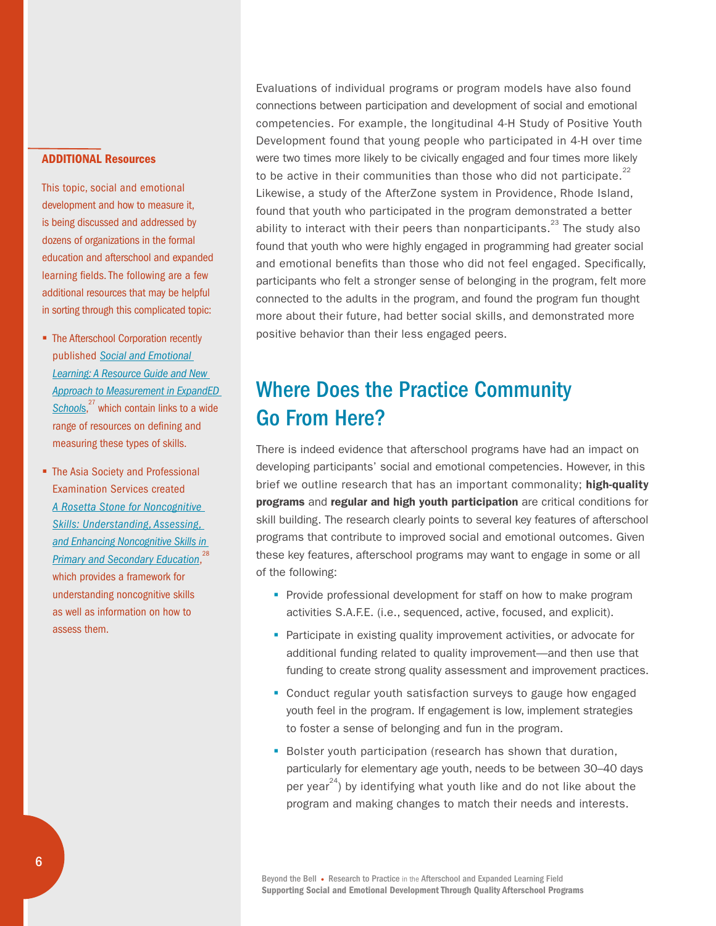#### ADDITIONAL Resources

This topic, social and emotional development and how to measure it, is being discussed and addressed by dozens of organizations in the formal education and afterschool and expanded learning fields. The following are a few additional resources that may be helpful in sorting through this complicated topic:

- The Afterschool Corporation recently published *[Social and Emotional](http://www.expandedschools.org/sites/default/files/TASC_SELResourceGuide_FINAL.pdf)  [Learning: A Resource Guide and New](http://www.expandedschools.org/sites/default/files/TASC_SELResourceGuide_FINAL.pdf)  [Approach to Measurement in ExpandED](http://www.expandedschools.org/sites/default/files/TASC_SELResourceGuide_FINAL.pdf)  [School](http://www.expandedschools.org/sites/default/files/TASC_SELResourceGuide_FINAL.pdf)*s, [27](#page-10-1) which contain links to a wide range of resources on defining and measuring these types of skills.
- The Asia Society and Professional Examination Services created *[A Rosetta Stone for Noncognitive](http://asiasociety.org/files/A_Rosetta_Stone_for_Noncognitive_Skills.pdf)  [Skills: Understanding, Assessing,](http://asiasociety.org/files/A_Rosetta_Stone_for_Noncognitive_Skills.pdf)  [and Enhancing Noncognitive Skills in](http://asiasociety.org/files/A_Rosetta_Stone_for_Noncognitive_Skills.pdf)  [Primary and Secondary Education](http://asiasociety.org/files/A_Rosetta_Stone_for_Noncognitive_Skills.pdf)*, [28](#page-10-2) which provides a framework for understanding noncognitive skills as well as information on how to assess them.

Evaluations of individual programs or program models have also found connections between participation and development of social and emotional competencies. For example, the longitudinal 4-H Study of Positive Youth Development found that young people who participated in 4-H over time were two times more likely to be civically engaged and four times more likely to be active in their communities than those who did not participate.<sup>[22](#page-9-6)</sup> Likewise, a study of the AfterZone system in Providence, Rhode Island, found that youth who participated in the program demonstrated a better ability to interact with their peers than nonparticipants.<sup>[23](#page-9-7)</sup> The study also found that youth who were highly engaged in programming had greater social and emotional benefits than those who did not feel engaged. Specifically, participants who felt a stronger sense of belonging in the program, felt more connected to the adults in the program, and found the program fun thought more about their future, had better social skills, and demonstrated more positive behavior than their less engaged peers.

# Where Does the Practice Community Go From Here?

There is indeed evidence that afterschool programs have had an impact on developing participants' social and emotional competencies. However, in this brief we outline research that has an important commonality; high-quality programs and regular and high youth participation are critical conditions for skill building. The research clearly points to several key features of afterschool programs that contribute to improved social and emotional outcomes. Given these key features, afterschool programs may want to engage in some or all of the following:

- Provide professional development for staff on how to make program activities S.A.F.E. (i.e., sequenced, active, focused, and explicit).
- Participate in existing quality improvement activities, or advocate for additional funding related to quality improvement—and then use that funding to create strong quality assessment and improvement practices.
- Conduct regular youth satisfaction surveys to gauge how engaged youth feel in the program. If engagement is low, implement strategies to foster a sense of belonging and fun in the program.
- Bolster youth participation (research has shown that duration, particularly for elementary age youth, needs to be between 30–40 days per year<sup>[24](#page-10-0)</sup>) by identifying what youth like and do not like about the program and making changes to match their needs and interests.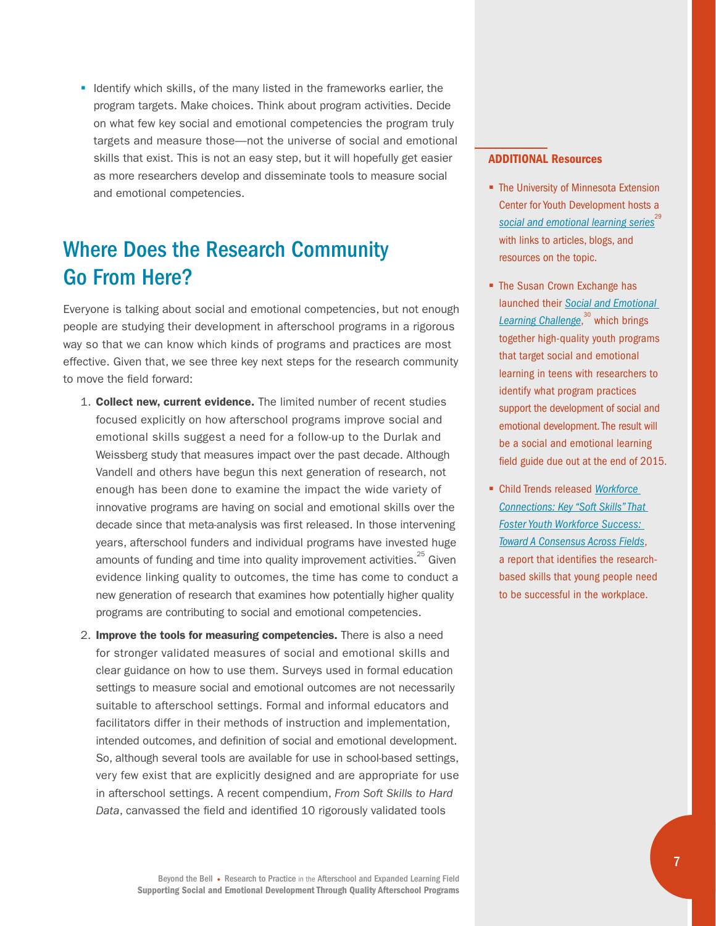■ Identify which skills, of the many listed in the frameworks earlier, the program targets. Make choices. Think about program activities. Decide on what few key social and emotional competencies the program truly targets and measure those—not the universe of social and emotional skills that exist. This is not an easy step, but it will hopefully get easier as more researchers develop and disseminate tools to measure social and emotional competencies.

# Where Does the Research Community Go From Here?

Everyone is talking about social and emotional competencies, but not enough people are studying their development in afterschool programs in a rigorous way so that we can know which kinds of programs and practices are most effective. Given that, we see three key next steps for the research community to move the field forward:

- 1. Collect new, current evidence. The limited number of recent studies focused explicitly on how afterschool programs improve social and emotional skills suggest a need for a follow-up to the Durlak and Weissberg study that measures impact over the past decade. Although Vandell and others have begun this next generation of research, not enough has been done to examine the impact the wide variety of innovative programs are having on social and emotional skills over the decade since that meta-analysis was first released. In those intervening years, afterschool funders and individual programs have invested huge amounts of funding and time into quality improvement activities. $25$  Given evidence linking quality to outcomes, the time has come to conduct a new generation of research that examines how potentially higher quality programs are contributing to social and emotional competencies.
- 2. Improve the tools for measuring competencies. There is also a need for stronger validated measures of social and emotional skills and clear guidance on how to use them. Surveys used in formal education settings to measure social and emotional outcomes are not necessarily suitable to afterschool settings. Formal and informal educators and facilitators differ in their methods of instruction and implementation, intended outcomes, and definition of social and emotional development. So, although several tools are available for use in school-based settings, very few exist that are explicitly designed and are appropriate for use in afterschool settings. A recent compendium, *From Soft Skills to Hard Data*, canvassed the field and identified 10 rigorously validated tools

#### ADDITIONAL Resources

- The University of Minnesota Extension Center for Youth Development hosts a [social and emotional learning series](http://www.extension.umn.edu/youth/research/sel/)<sup>[29](#page-10-4)</sup> with links to articles, blogs, and resources on the topic.
- The Susan Crown Exchange has launched their *[Social and Emotional](http://www.scefdn.org/what-we-do/social-emotional-learning/#sel-challenge)  [Learning Challenge](http://www.scefdn.org/what-we-do/social-emotional-learning/#sel-challenge)*, [30](#page-10-5) which brings together high-quality youth programs that target social and emotional learning in teens with researchers to identify what program practices support the development of social and emotional development. The result will be a social and emotional learning field guide due out at the end of 2015.
- § Child Trends released *[Workforce](http://www.childtrends.org/wp-content/uploads/2015/06/2015-24WFCSoftSkills1.pdf)  [Connections: Key "Soft Skills" That](http://www.childtrends.org/wp-content/uploads/2015/06/2015-24WFCSoftSkills1.pdf)  [Foster Youth Workforce Success:](http://www.childtrends.org/wp-content/uploads/2015/06/2015-24WFCSoftSkills1.pdf)  [Toward A Consensus Across Fields](http://www.childtrends.org/wp-content/uploads/2015/06/2015-24WFCSoftSkills1.pdf)*, a report that identifies the researchbased skills that young people need to be successful in the workplace.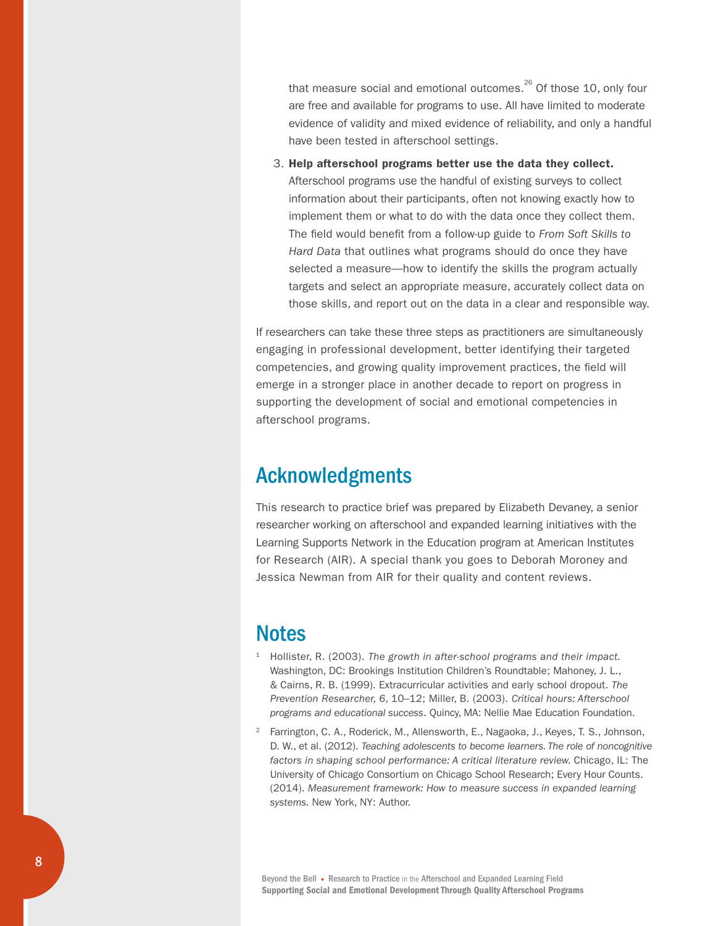that measure social and emotional outcomes. $^{26}$  Of those 10, only four are free and available for programs to use. All have limited to moderate evidence of validity and mixed evidence of reliability, and only a handful have been tested in afterschool settings.

3. Help afterschool programs better use the data they collect. Afterschool programs use the handful of existing surveys to collect information about their participants, often not knowing exactly how to implement them or what to do with the data once they collect them. The field would benefit from a follow-up guide to *From Soft Skills to Hard Data* that outlines what programs should do once they have selected a measure—how to identify the skills the program actually targets and select an appropriate measure, accurately collect data on those skills, and report out on the data in a clear and responsible way.

If researchers can take these three steps as practitioners are simultaneously engaging in professional development, better identifying their targeted competencies, and growing quality improvement practices, the field will emerge in a stronger place in another decade to report on progress in supporting the development of social and emotional competencies in afterschool programs.

### Acknowledgments

This research to practice brief was prepared by Elizabeth Devaney, a senior researcher working on afterschool and expanded learning initiatives with the Learning Supports Network in the Education program at American Institutes for Research (AIR). A special thank you goes to Deborah Moroney and Jessica Newman from AIR for their quality and content reviews.

### **Notes**

- <span id="page-7-0"></span><sup>1</sup> Hollister, R. (2003). *The growth in after-school programs and their impact.* Washington, DC: Brookings Institution Children's Roundtable; Mahoney, J. L., & Cairns, R. B. (1999). Extracurricular activities and early school dropout. *The Prevention Researcher, 6*, 10–12; Miller, B. (2003). *Critical hours: Afterschool programs and educational success*. Quincy, MA: Nellie Mae Education Foundation.
- <span id="page-7-1"></span><sup>2</sup> Farrington, C. A., Roderick, M., Allensworth, E., Nagaoka, J., Keyes, T. S., Johnson, D. W., et al. (2012). *Teaching adolescents to become learners. The role of noncognitive factors in shaping school performance: A critical literature review.* Chicago, IL: The University of Chicago Consortium on Chicago School Research; Every Hour Counts. (2014). *Measurement framework: How to measure success in expanded learning systems.* New York, NY: Author.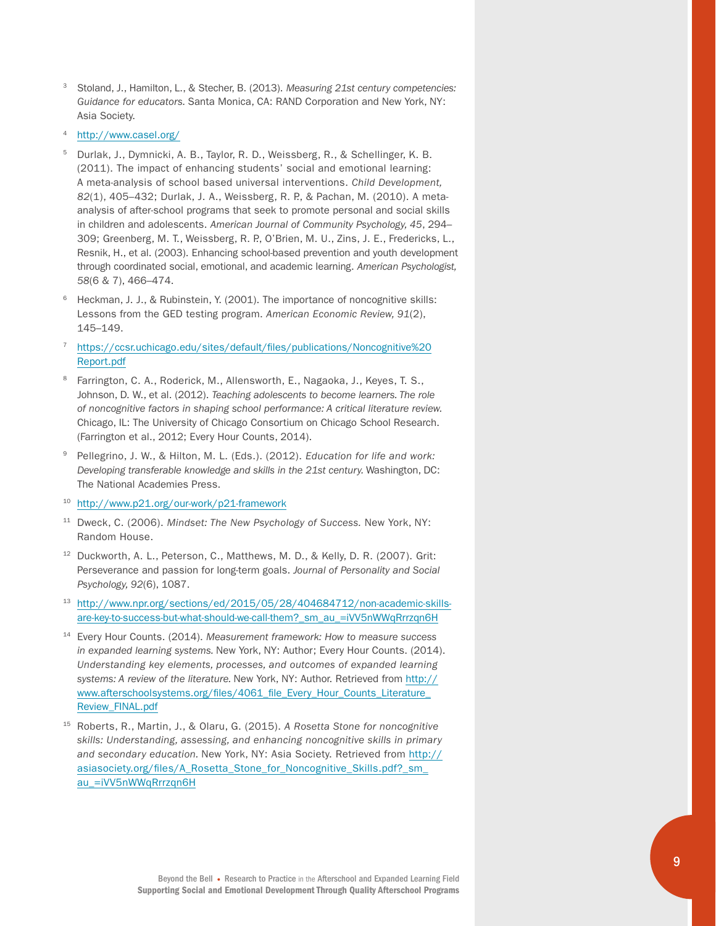- <span id="page-8-0"></span><sup>3</sup> Stoland, J., Hamilton, L., & Stecher, B. (2013). *Measuring 21st century competencies: Guidance for educators.* Santa Monica, CA: RAND Corporation and New York, NY: Asia Society.
- <span id="page-8-1"></span><sup>4</sup> <http://www.casel.org/>
- <span id="page-8-2"></span><sup>5</sup> Durlak, J., Dymnicki, A. B., Taylor, R. D., Weissberg, R., & Schellinger, K. B. (2011). The impact of enhancing students' social and emotional learning: A meta-analysis of school based universal interventions. *Child Development, 82*(1), 405–432; Durlak, J. A., Weissberg, R. P., & Pachan, M. (2010). A metaanalysis of after-school programs that seek to promote personal and social skills in children and adolescents. *American Journal of Community Psychology, 45*, 294– 309; Greenberg, M. T., Weissberg, R. P., O'Brien, M. U., Zins, J. E., Fredericks, L., Resnik, H., et al. (2003). Enhancing school-based prevention and youth development through coordinated social, emotional, and academic learning. *American Psychologist, 58*(6 & 7), 466–474.
- <span id="page-8-3"></span>Heckman, J. J., & Rubinstein, Y. (2001). The importance of noncognitive skills: Lessons from the GED testing program. *American Economic Review, 91*(2), 145–149.

#### <span id="page-8-4"></span><sup>7</sup> [https://ccsr.uchicago.edu/sites/default/files/publications/Noncognitive%20](https://ccsr.uchicago.edu/sites/default/files/publications/Noncognitive%20Report.pdf) [Report.pdf](https://ccsr.uchicago.edu/sites/default/files/publications/Noncognitive%20Report.pdf)

- <span id="page-8-5"></span>Farrington, C. A., Roderick, M., Allensworth, E., Nagaoka, J., Keyes, T. S., Johnson, D. W., et al. (2012). *Teaching adolescents to become learners. The role of noncognitive factors in shaping school performance: A critical literature review.*  Chicago, IL: The University of Chicago Consortium on Chicago School Research. (Farrington et al., 2012; Every Hour Counts, 2014).
- <span id="page-8-6"></span><sup>9</sup> Pellegrino, J. W., & Hilton, M. L. (Eds.). (2012). *Education for life and work: Developing transferable knowledge and skills in the 21st century.* Washington, DC: The National Academies Press.
- <span id="page-8-7"></span><sup>10</sup> <http://www.p21.org/our-work/p21-framework>
- <span id="page-8-8"></span><sup>11</sup> Dweck, C. (2006). *Mindset: The New Psychology of Success.* New York, NY: Random House.
- <span id="page-8-9"></span><sup>12</sup> Duckworth, A. L., Peterson, C., Matthews, M. D., & Kelly, D. R. (2007). Grit: Perseverance and passion for long-term goals. *Journal of Personality and Social Psychology, 92*(6), 1087.
- <span id="page-8-10"></span><sup>13</sup> [http://www.npr.org/sections/ed/2015/05/28/404684712/non-academic-skills](http://www.npr.org/sections/ed/2015/05/28/404684712/non-academic-skills-are-key-to-success-but-what-should-we-call-them?_sm_au_=iVV5nWWqRrrzqn6H)[are-key-to-success-but-what-should-we-call-them?\\_sm\\_au\\_=iVV5nWWqRrrzqn6H](http://www.npr.org/sections/ed/2015/05/28/404684712/non-academic-skills-are-key-to-success-but-what-should-we-call-them?_sm_au_=iVV5nWWqRrrzqn6H)
- <span id="page-8-11"></span><sup>14</sup> Every Hour Counts. (2014). *Measurement framework: How to measure success in expanded learning systems.* New York, NY: Author; Every Hour Counts. (2014). *Understanding key elements, processes, and outcomes of expanded learning systems: A review of the literature.* New York, NY: Author. Retrieved from [http://](http://www.afterschoolsystems.org/files/4061_file_Every_Hour_Counts_Literature_Review_FINAL.pdf) [www.afterschoolsystems.org/files/4061\\_file\\_Every\\_Hour\\_Counts\\_Literature\\_](http://www.afterschoolsystems.org/files/4061_file_Every_Hour_Counts_Literature_Review_FINAL.pdf) [Review\\_FINAL.pdf](http://www.afterschoolsystems.org/files/4061_file_Every_Hour_Counts_Literature_Review_FINAL.pdf)
- <span id="page-8-12"></span><sup>15</sup> Roberts, R., Martin, J., & Olaru, G. (2015). *A Rosetta Stone for noncognitive skills: Understanding, assessing, and enhancing noncognitive skills in primary and secondary education.* New York, NY: Asia Society. Retrieved from [http://](http://asiasociety.org/files/A_Rosetta_Stone_for_Noncognitive_Skills.pdf?_sm_au_=iVV5nWWqRrrzqn6H) [asiasociety.org/files/A\\_Rosetta\\_Stone\\_for\\_Noncognitive\\_Skills.pdf?\\_sm\\_](http://asiasociety.org/files/A_Rosetta_Stone_for_Noncognitive_Skills.pdf?_sm_au_=iVV5nWWqRrrzqn6H) [au\\_=iVV5nWWqRrrzqn6H](http://asiasociety.org/files/A_Rosetta_Stone_for_Noncognitive_Skills.pdf?_sm_au_=iVV5nWWqRrrzqn6H)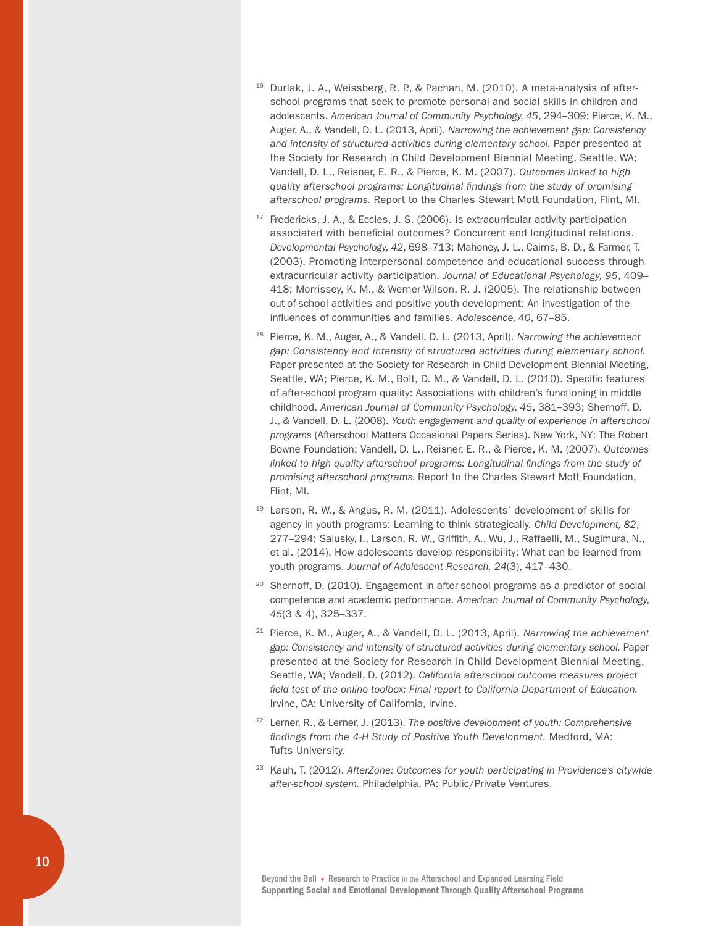- <span id="page-9-0"></span> $16$  Durlak, J. A., Weissberg, R. P., & Pachan, M. (2010). A meta-analysis of afterschool programs that seek to promote personal and social skills in children and adolescents. *American Journal of Community Psychology, 45*, 294–309; Pierce, K. M., Auger, A., & Vandell, D. L. (2013, April). *Narrowing the achievement gap: Consistency and intensity of structured activities during elementary school.* Paper presented at the Society for Research in Child Development Biennial Meeting, Seattle, WA; Vandell, D. L., Reisner, E. R., & Pierce, K. M. (2007). *Outcomes linked to high quality afterschool programs: Longitudinal findings from the study of promising afterschool programs.* Report to the Charles Stewart Mott Foundation, Flint, MI.
- <span id="page-9-1"></span><sup>17</sup> Fredericks, J. A., & Eccles, J. S. (2006). Is extracurricular activity participation associated with beneficial outcomes? Concurrent and longitudinal relations. *Developmental Psychology, 42*, 698–713; Mahoney, J. L., Cairns, B. D., & Farmer, T. (2003). Promoting interpersonal competence and educational success through extracurricular activity participation. *Journal of Educational Psychology, 95*, 409– 418; Morrissey, K. M., & Werner-Wilson, R. J. (2005). The relationship between out-of-school activities and positive youth development: An investigation of the influences of communities and families. *Adolescence, 40*, 67–85.
- <span id="page-9-2"></span><sup>18</sup> Pierce, K. M., Auger, A., & Vandell, D. L. (2013, April). *Narrowing the achievement gap: Consistency and intensity of structured activities during elementary school.* Paper presented at the Society for Research in Child Development Biennial Meeting, Seattle, WA; Pierce, K. M., Bolt, D. M., & Vandell, D. L. (2010). Specific features of after-school program quality: Associations with children's functioning in middle childhood. *American Journal of Community Psychology, 45*, 381–393; Shernoff, D. J., & Vandell, D. L. (2008). *Youth engagement and quality of experience in afterschool programs* (Afterschool Matters Occasional Papers Series). New York, NY: The Robert Bowne Foundation; Vandell, D. L., Reisner, E. R., & Pierce, K. M. (2007). *Outcomes*  linked to high quality afterschool programs: Longitudinal findings from the study of *promising afterschool programs.* Report to the Charles Stewart Mott Foundation, Flint, MI.
- <span id="page-9-3"></span><sup>19</sup> Larson, R. W., & Angus, R. M. (2011). Adolescents' development of skills for agency in youth programs: Learning to think strategically. *Child Development, 82*, 277–294; Salusky, I., Larson, R. W., Griffith, A., Wu, J., Raffaelli, M., Sugimura, N., et al. (2014). How adolescents develop responsibility: What can be learned from youth programs. *Journal of Adolescent Research, 24*(3), 417–430.
- <span id="page-9-4"></span><sup>20</sup> Shernoff, D. (2010). Engagement in after-school programs as a predictor of social competence and academic performance. *American Journal of Community Psychology, 45*(3 & 4), 325–337.
- <span id="page-9-5"></span><sup>21</sup> Pierce, K. M., Auger, A., & Vandell, D. L. (2013, April). *Narrowing the achievement gap: Consistency and intensity of structured activities during elementary school.* Paper presented at the Society for Research in Child Development Biennial Meeting, Seattle, WA; Vandell, D. (2012). *California afterschool outcome measures project field test of the online toolbox: Final report to California Department of Education.* Irvine, CA: University of California, Irvine.
- <span id="page-9-6"></span><sup>22</sup> Lerner, R., & Lerner, J. (2013). *The positive development of youth: Comprehensive findings from the 4-H Study of Positive Youth Development.* Medford, MA: Tufts University.
- <span id="page-9-7"></span><sup>23</sup> Kauh, T. (2012). *AfterZone: Outcomes for youth participating in Providence's citywide after-school system.* Philadelphia, PA: Public/Private Ventures.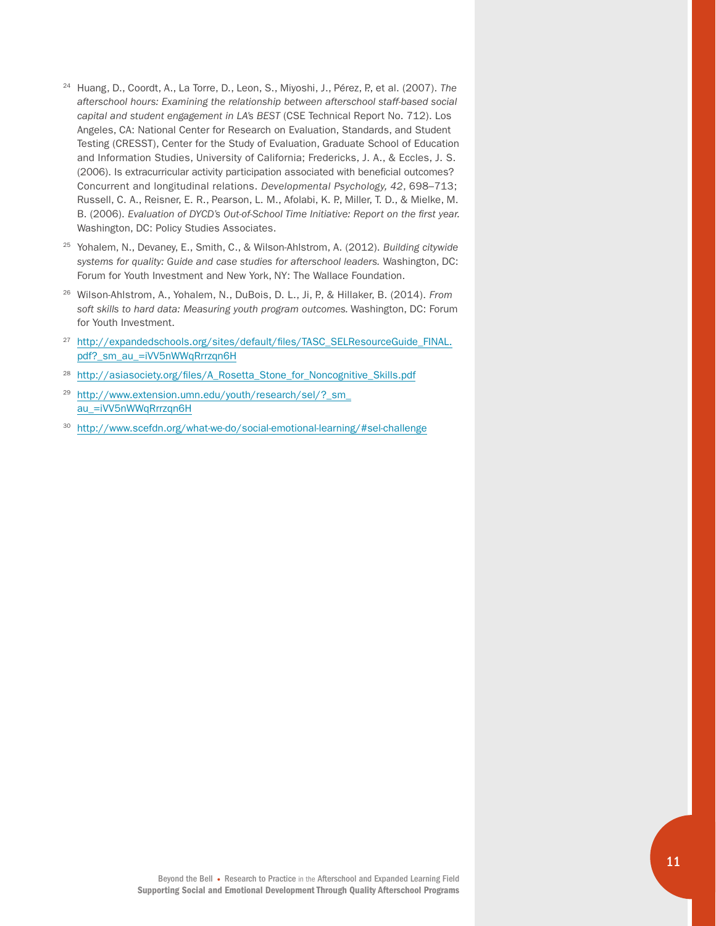- <span id="page-10-0"></span><sup>24</sup> Huang, D., Coordt, A., La Torre, D., Leon, S., Miyoshi, J., Pérez, P., et al. (2007). *The afterschool hours: Examining the relationship between afterschool staff-based social capital and student engagement in LA's BEST* (CSE Technical Report No. 712). Los Angeles, CA: National Center for Research on Evaluation, Standards, and Student Testing (CRESST), Center for the Study of Evaluation, Graduate School of Education and Information Studies, University of California; Fredericks, J. A., & Eccles, J. S. (2006). Is extracurricular activity participation associated with beneficial outcomes? Concurrent and longitudinal relations. *Developmental Psychology, 42*, 698–713; Russell, C. A., Reisner, E. R., Pearson, L. M., Afolabi, K. P., Miller, T. D., & Mielke, M. B. (2006). *Evaluation of DYCD's Out-of-School Time Initiative: Report on the first year.*  Washington, DC: Policy Studies Associates.
- <span id="page-10-3"></span><sup>25</sup> Yohalem, N., Devaney, E., Smith, C., & Wilson-Ahlstrom, A. (2012). *Building citywide systems for quality: Guide and case studies for afterschool leaders.* Washington, DC: Forum for Youth Investment and New York, NY: The Wallace Foundation.
- <span id="page-10-6"></span><sup>26</sup> Wilson-Ahlstrom, A., Yohalem, N., DuBois, D. L., Ji, P., & Hillaker, B. (2014). *From soft skills to hard data: Measuring youth program outcomes.* Washington, DC: Forum for Youth Investment.
- <span id="page-10-1"></span><sup>27</sup> [http://expandedschools.org/sites/default/files/TASC\\_SELResourceGuide\\_FINAL.](http://expandedschools.org/sites/default/files/TASC_SELResourceGuide_FINAL.pdf?_sm_au_=iVV5nWWqRrrzqn6H) [pdf?\\_sm\\_au\\_=iVV5nWWqRrrzqn6H](http://expandedschools.org/sites/default/files/TASC_SELResourceGuide_FINAL.pdf?_sm_au_=iVV5nWWqRrrzqn6H)
- <span id="page-10-2"></span><sup>28</sup> [http://asiasociety.org/files/A\\_Rosetta\\_Stone\\_for\\_Noncognitive\\_Skills.pdf](http://asiasociety.org/files/A_Rosetta_Stone_for_Noncognitive_Skills.pdf)
- <span id="page-10-4"></span><sup>29</sup> [http://www.extension.umn.edu/youth/research/sel/?\\_sm\\_](http://www.extension.umn.edu/youth/research/sel/?_sm_au_=iVV5nWWqRrrzqn6H) [au\\_=iVV5nWWqRrrzqn6H](http://www.extension.umn.edu/youth/research/sel/?_sm_au_=iVV5nWWqRrrzqn6H)
- <span id="page-10-5"></span><sup>30</sup> <http://www.scefdn.org/what-we-do/social-emotional-learning/#sel-challenge>